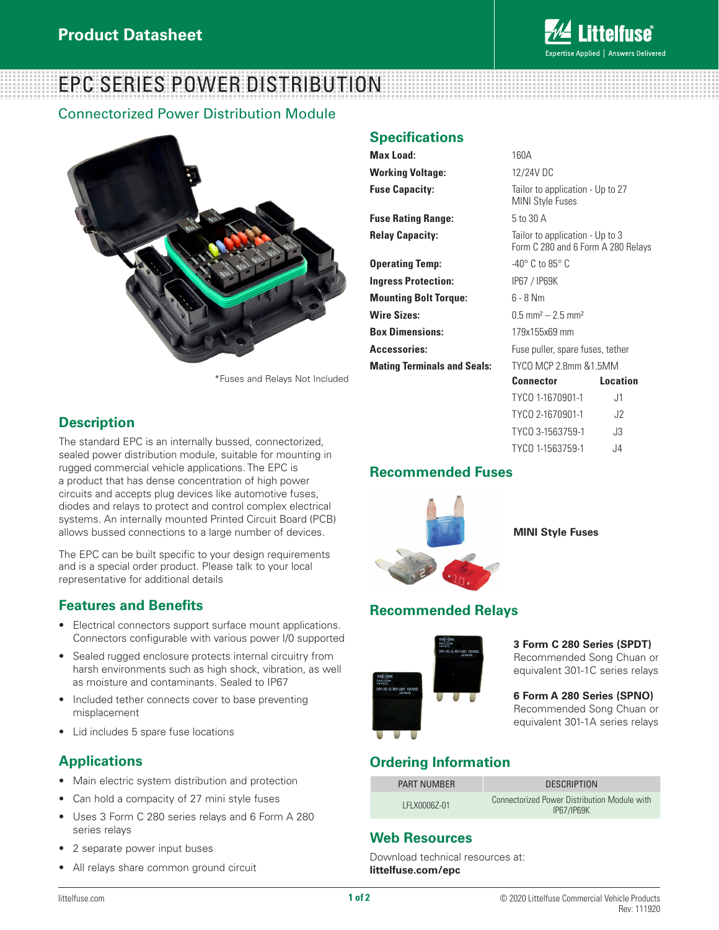

# EPC SERIES POWER DISTRIBUTION

#### Connectorized Power Distribution Module



\*Fuses and Relays Not Included

# **Description**

The standard EPC is an internally bussed, connectorized, sealed power distribution module, suitable for mounting in rugged commercial vehicle applications. The EPC is a product that has dense concentration of high power circuits and accepts plug devices like automotive fuses, diodes and relays to protect and control complex electrical systems. An internally mounted Printed Circuit Board (PCB) allows bussed connections to a large number of devices.

The EPC can be built specific to your design requirements and is a special order product. Please talk to your local representative for additional details

# **Features and Benefits**

- Electrical connectors support surface mount applications. Connectors configurable with various power I/0 supported
- Sealed rugged enclosure protects internal circuitry from harsh environments such as high shock, vibration, as well as moisture and contaminants. Sealed to IP67
- Included tether connects cover to base preventing misplacement
- Lid includes 5 spare fuse locations

#### **Applications**

- Main electric system distribution and protection
- Can hold a compacity of 27 mini style fuses
- Uses 3 Form C 280 series relays and 6 Form A 280 series relays
- 2 separate power input buses
- All relays share common ground circuit

#### **Specifications**

| Max Load:                          | 160A                                                                  |                 |
|------------------------------------|-----------------------------------------------------------------------|-----------------|
| <b>Working Voltage:</b>            | 12/24V DC                                                             |                 |
| <b>Fuse Capacity:</b>              | Tailor to application - Up to 27<br><b>MINI Style Fuses</b>           |                 |
| <b>Fuse Rating Range:</b>          | 5 to 30 A                                                             |                 |
| <b>Relay Capacity:</b>             | Tailor to application - Up to 3<br>Form C 280 and 6 Form A 280 Relays |                 |
| <b>Operating Temp:</b>             | -40 $^{\circ}$ C to 85 $^{\circ}$ C                                   |                 |
| <b>Ingress Protection:</b>         | IP67 / IP69K                                                          |                 |
| <b>Mounting Bolt Torque:</b>       | $6 - 8$ Nm                                                            |                 |
| <b>Wire Sizes:</b>                 | $0.5$ mm <sup>2</sup> $- 2.5$ mm <sup>2</sup>                         |                 |
| <b>Box Dimensions:</b>             | 179x155x69 mm                                                         |                 |
| <b>Accessories:</b>                | Fuse puller, spare fuses, tether                                      |                 |
| <b>Mating Terminals and Seals:</b> | TYCO MCP 2.8mm &1.5MM                                                 |                 |
|                                    | Connector                                                             | <b>Location</b> |
|                                    | TYCO 1-1670901-1                                                      | J <sub>1</sub>  |
|                                    | TYCO 2-1670901-1                                                      | J2              |
|                                    | TYCO 3-1563759-1                                                      | J3              |
|                                    | TYCO 1-1563759-1                                                      | J4              |

#### **Recommended Fuses**



**MINI Style Fuses**

# **Recommended Relays**



**3 Form C 280 Series (SPDT)** Recommended Song Chuan or equivalent 301-1C series relays

**6 Form A 280 Series (SPNO)**  Recommended Song Chuan or equivalent 301-1A series relays

# **Ordering Information**

| <b>PART NUMBER</b> | <b>DESCRIPTION</b>                                                |
|--------------------|-------------------------------------------------------------------|
| LFLX0006Z-01       | Connectorized Power Distribution Module with<br><b>IP67/IP69K</b> |

# **Web Resources**

Download technical resources at: **littelfuse.com/epc**